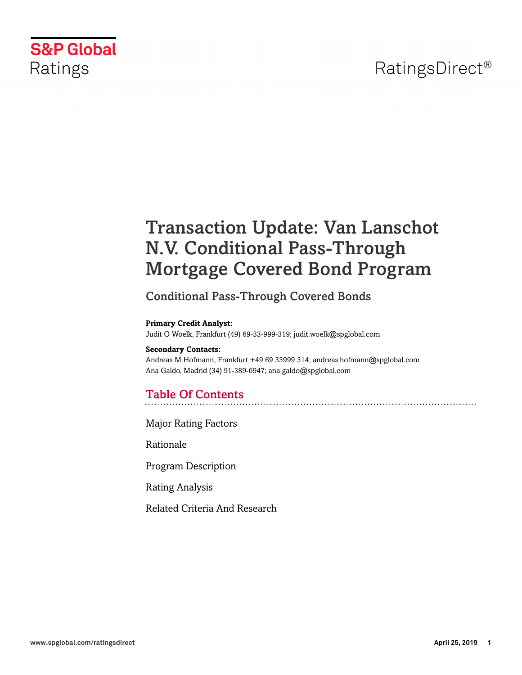# RatingsDirect<sup>®</sup>



# Transaction Update: Van Lanschot N.V. Conditional Pass-Through Mortgage Covered Bond Program

## Conditional Pass-Through Covered Bonds

#### **Primary Credit Analyst:**

Judit O Woelk, Frankfurt (49) 69-33-999-319; judit.woelk@spglobal.com

#### **Secondary Contacts:**

Andreas M Hofmann, Frankfurt +49 69 33999 314; andreas.hofmann@spglobal.com Ana Galdo, Madrid (34) 91-389-6947; ana.galdo@spglobal.com

## Table Of Contents

[Major Rating Factors](#page-1-0)

[Rationale](#page-2-0)

[Program Description](#page-2-1)

[Rating Analysis](#page-5-0)

[Related Criteria And Research](#page-11-0)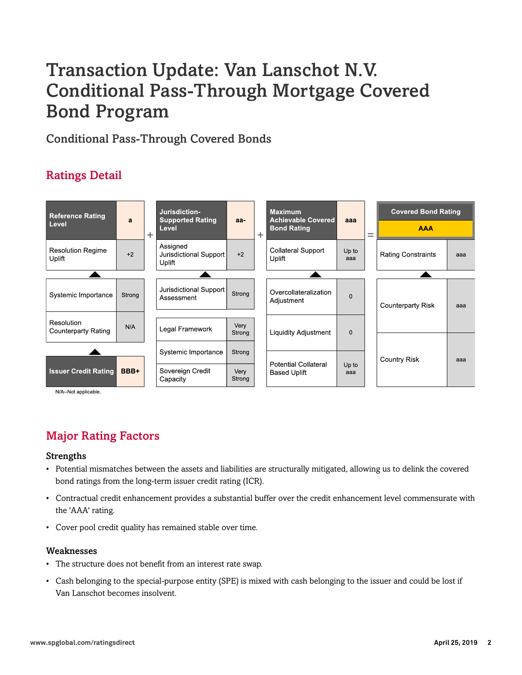# Transaction Update: Van Lanschot N.V. Conditional Pass-Through Mortgage Covered Bond Program

Conditional Pass-Through Covered Bonds

## Ratings Detail



N/A--Not applicable.

## <span id="page-1-0"></span>Major Rating Factors

#### Strengths

- Potential mismatches between the assets and liabilities are structurally mitigated, allowing us to delink the covered bond ratings from the long-term issuer credit rating (ICR).
- Contractual credit enhancement provides a substantial buffer over the credit enhancement level commensurate with the 'AAA' rating.
- Cover pool credit quality has remained stable over time.

#### Weaknesses

- The structure does not benefit from an interest rate swap.
- Cash belonging to the special-purpose entity (SPE) is mixed with cash belonging to the issuer and could be lost if Van Lanschot becomes insolvent.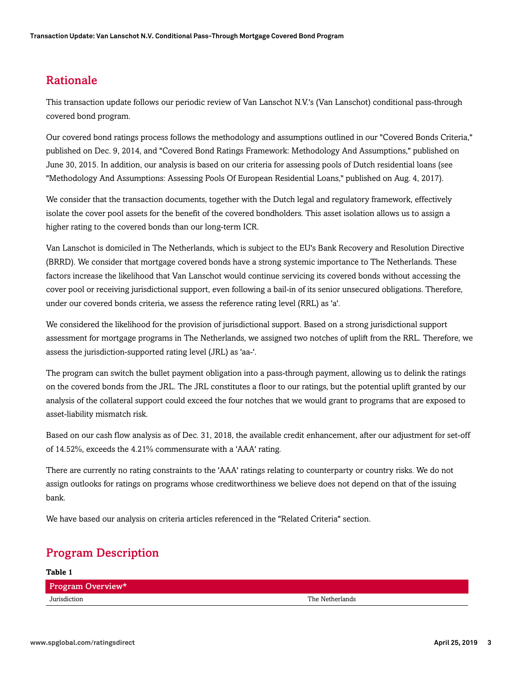### <span id="page-2-0"></span>Rationale

This transaction update follows our periodic review of Van Lanschot N.V.'s (Van Lanschot) conditional pass-through covered bond program.

Our covered bond ratings process follows the methodology and assumptions outlined in our "Covered Bonds Criteria," published on Dec. 9, 2014, and "Covered Bond Ratings Framework: Methodology And Assumptions," published on June 30, 2015. In addition, our analysis is based on our criteria for assessing pools of Dutch residential loans (see "Methodology And Assumptions: Assessing Pools Of European Residential Loans," published on Aug. 4, 2017).

We consider that the transaction documents, together with the Dutch legal and regulatory framework, effectively isolate the cover pool assets for the benefit of the covered bondholders. This asset isolation allows us to assign a higher rating to the covered bonds than our long-term ICR.

Van Lanschot is domiciled in The Netherlands, which is subject to the EU's Bank Recovery and Resolution Directive (BRRD). We consider that mortgage covered bonds have a strong systemic importance to The Netherlands. These factors increase the likelihood that Van Lanschot would continue servicing its covered bonds without accessing the cover pool or receiving jurisdictional support, even following a bail-in of its senior unsecured obligations. Therefore, under our covered bonds criteria, we assess the reference rating level (RRL) as 'a'.

We considered the likelihood for the provision of jurisdictional support. Based on a strong jurisdictional support assessment for mortgage programs in The Netherlands, we assigned two notches of uplift from the RRL. Therefore, we assess the jurisdiction-supported rating level (JRL) as 'aa-'.

The program can switch the bullet payment obligation into a pass-through payment, allowing us to delink the ratings on the covered bonds from the JRL. The JRL constitutes a floor to our ratings, but the potential uplift granted by our analysis of the collateral support could exceed the four notches that we would grant to programs that are exposed to asset-liability mismatch risk.

Based on our cash flow analysis as of Dec. 31, 2018, the available credit enhancement, after our adjustment for set-off of 14.52%, exceeds the 4.21% commensurate with a 'AAA' rating.

There are currently no rating constraints to the 'AAA' ratings relating to counterparty or country risks. We do not assign outlooks for ratings on programs whose creditworthiness we believe does not depend on that of the issuing bank.

<span id="page-2-1"></span>We have based our analysis on criteria articles referenced in the "Related Criteria" section.

## Program Description

| Table 1           |                 |
|-------------------|-----------------|
| Program Overview* |                 |
| Jurisdiction      | The Netherlands |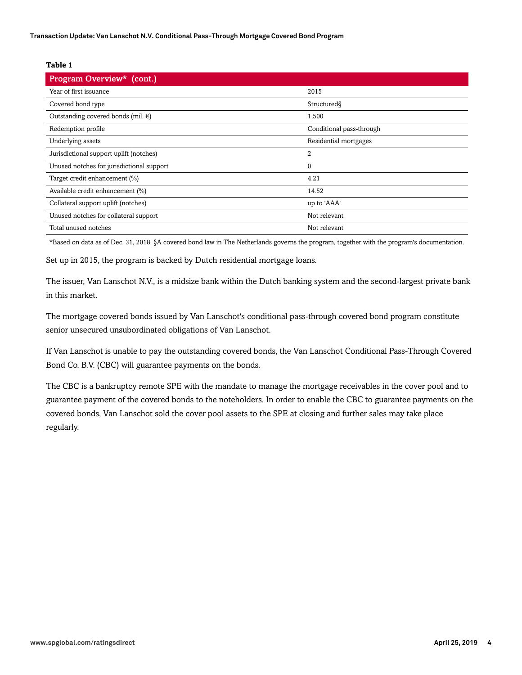#### **Table 1**

| Program Overview* (cont.)                    |                          |
|----------------------------------------------|--------------------------|
| Year of first issuance                       | 2015                     |
| Covered bond type                            | Structured               |
| Outstanding covered bonds (mil. $\epsilon$ ) | 1,500                    |
| Redemption profile                           | Conditional pass-through |
| Underlying assets                            | Residential mortgages    |
| Jurisdictional support uplift (notches)      | $\overline{2}$           |
| Unused notches for jurisdictional support    | $\boldsymbol{0}$         |
| Target credit enhancement (%)                | 4.21                     |
| Available credit enhancement (%)             | 14.52                    |
| Collateral support uplift (notches)          | up to 'AAA'              |
| Unused notches for collateral support        | Not relevant             |
| Total unused notches                         | Not relevant             |

\*Based on data as of Dec. 31, 2018. §A covered bond law in The Netherlands governs the program, together with the program's documentation.

Set up in 2015, the program is backed by Dutch residential mortgage loans.

The issuer, Van Lanschot N.V., is a midsize bank within the Dutch banking system and the second-largest private bank in this market.

The mortgage covered bonds issued by Van Lanschot's conditional pass-through covered bond program constitute senior unsecured unsubordinated obligations of Van Lanschot.

If Van Lanschot is unable to pay the outstanding covered bonds, the Van Lanschot Conditional Pass-Through Covered Bond Co. B.V. (CBC) will guarantee payments on the bonds.

The CBC is a bankruptcy remote SPE with the mandate to manage the mortgage receivables in the cover pool and to guarantee payment of the covered bonds to the noteholders. In order to enable the CBC to guarantee payments on the covered bonds, Van Lanschot sold the cover pool assets to the SPE at closing and further sales may take place regularly.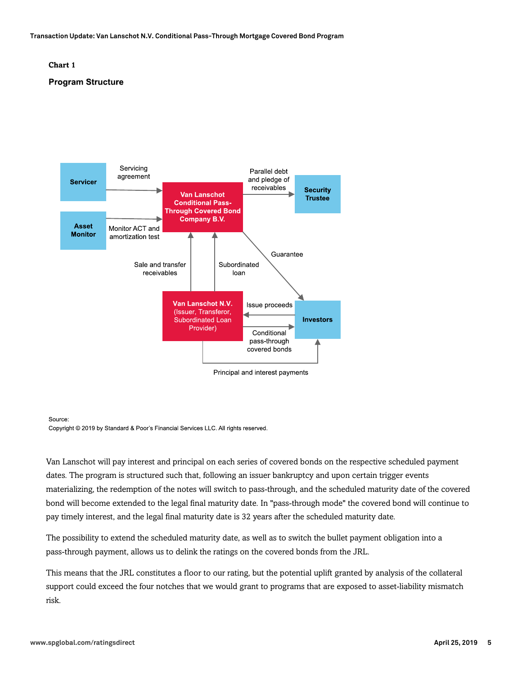**Transaction Update: Van Lanschot N.V. Conditional Pass-Through Mortgage Covered Bond Program**

#### **Chart 1**

#### **Program Structure**



Source:

Copyright © 2019 by Standard & Poor's Financial Services LLC. All rights reserved.

Van Lanschot will pay interest and principal on each series of covered bonds on the respective scheduled payment dates. The program is structured such that, following an issuer bankruptcy and upon certain trigger events materializing, the redemption of the notes will switch to pass-through, and the scheduled maturity date of the covered bond will become extended to the legal final maturity date. In "pass-through mode" the covered bond will continue to pay timely interest, and the legal final maturity date is 32 years after the scheduled maturity date.

The possibility to extend the scheduled maturity date, as well as to switch the bullet payment obligation into a pass-through payment, allows us to delink the ratings on the covered bonds from the JRL.

This means that the JRL constitutes a floor to our rating, but the potential uplift granted by analysis of the collateral support could exceed the four notches that we would grant to programs that are exposed to asset-liability mismatch risk.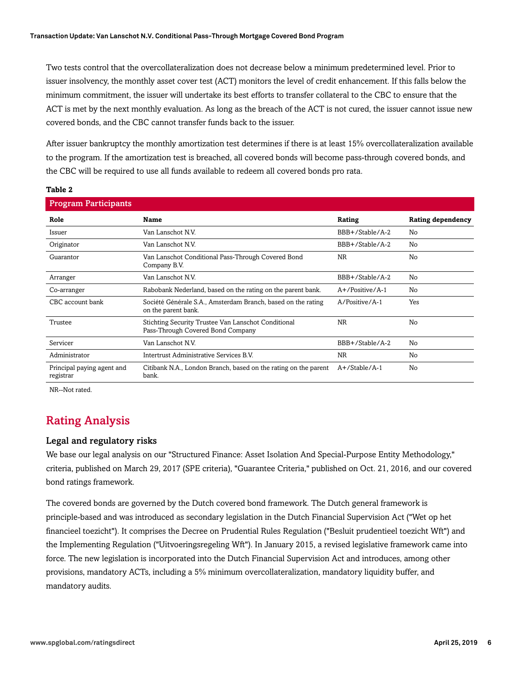Two tests control that the overcollateralization does not decrease below a minimum predetermined level. Prior to issuer insolvency, the monthly asset cover test (ACT) monitors the level of credit enhancement. If this falls below the minimum commitment, the issuer will undertake its best efforts to transfer collateral to the CBC to ensure that the ACT is met by the next monthly evaluation. As long as the breach of the ACT is not cured, the issuer cannot issue new covered bonds, and the CBC cannot transfer funds back to the issuer.

After issuer bankruptcy the monthly amortization test determines if there is at least 15% overcollateralization available to the program. If the amortization test is breached, all covered bonds will become pass-through covered bonds, and the CBC will be required to use all funds available to redeem all covered bonds pro rata.

#### **Table 2**

| <b>Program Participants</b>             |                                                                                          |                    |                          |
|-----------------------------------------|------------------------------------------------------------------------------------------|--------------------|--------------------------|
| Role                                    | <b>Name</b>                                                                              | Rating             | <b>Rating dependency</b> |
| Issuer                                  | Van Lanschot N.V.                                                                        | BBB+/Stable/A-2    | No                       |
| Originator                              | Van Lanschot N.V.                                                                        | BBB+/Stable/A-2    | No                       |
| Guarantor                               | Van Lanschot Conditional Pass-Through Covered Bond<br>Company B.V.                       | <b>NR</b>          | No                       |
| Arranger                                | Van Lanschot N.V.                                                                        | BBB+/Stable/A-2    | No                       |
| Co-arranger                             | Rabobank Nederland, based on the rating on the parent bank.                              | $A+$ /Positive/A-1 | No                       |
| CBC account bank                        | Société Générale S.A., Amsterdam Branch, based on the rating<br>on the parent bank.      | A/Positive/A-1     | Yes                      |
| Trustee                                 | Stichting Security Trustee Van Lanschot Conditional<br>Pass-Through Covered Bond Company | <b>NR</b>          | No                       |
| Servicer                                | Van Lanschot N.V.                                                                        | BBB+/Stable/A-2    | No                       |
| Administrator                           | Intertrust Administrative Services B.V.                                                  | <b>NR</b>          | No                       |
| Principal paying agent and<br>registrar | Citibank N.A., London Branch, based on the rating on the parent<br>bank.                 | A+/Stable/A-1      | No                       |

<span id="page-5-0"></span>NR--Not rated.

## Rating Analysis

#### Legal and regulatory risks

We base our legal analysis on our "Structured Finance: Asset Isolation And Special-Purpose Entity Methodology," criteria, published on March 29, 2017 (SPE criteria), "Guarantee Criteria," published on Oct. 21, 2016, and our covered bond ratings framework.

The covered bonds are governed by the Dutch covered bond framework. The Dutch general framework is principle-based and was introduced as secondary legislation in the Dutch Financial Supervision Act ("Wet op het financieel toezicht"). It comprises the Decree on Prudential Rules Regulation ("Besluit prudentieel toezicht Wft") and the Implementing Regulation ("Uitvoeringsregeling Wft"). In January 2015, a revised legislative framework came into force. The new legislation is incorporated into the Dutch Financial Supervision Act and introduces, among other provisions, mandatory ACTs, including a 5% minimum overcollateralization, mandatory liquidity buffer, and mandatory audits.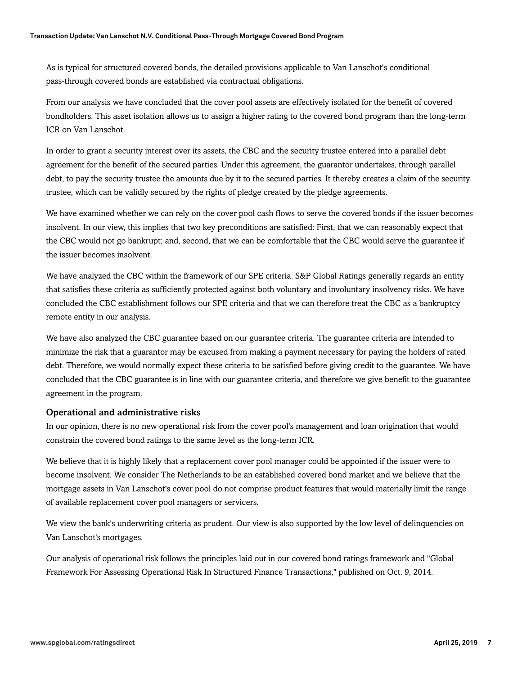As is typical for structured covered bonds, the detailed provisions applicable to Van Lanschot's conditional pass-through covered bonds are established via contractual obligations.

From our analysis we have concluded that the cover pool assets are effectively isolated for the benefit of covered bondholders. This asset isolation allows us to assign a higher rating to the covered bond program than the long-term ICR on Van Lanschot.

In order to grant a security interest over its assets, the CBC and the security trustee entered into a parallel debt agreement for the benefit of the secured parties. Under this agreement, the guarantor undertakes, through parallel debt, to pay the security trustee the amounts due by it to the secured parties. It thereby creates a claim of the security trustee, which can be validly secured by the rights of pledge created by the pledge agreements.

We have examined whether we can rely on the cover pool cash flows to serve the covered bonds if the issuer becomes insolvent. In our view, this implies that two key preconditions are satisfied: First, that we can reasonably expect that the CBC would not go bankrupt; and, second, that we can be comfortable that the CBC would serve the guarantee if the issuer becomes insolvent.

We have analyzed the CBC within the framework of our SPE criteria. S&P Global Ratings generally regards an entity that satisfies these criteria as sufficiently protected against both voluntary and involuntary insolvency risks. We have concluded the CBC establishment follows our SPE criteria and that we can therefore treat the CBC as a bankruptcy remote entity in our analysis.

We have also analyzed the CBC guarantee based on our guarantee criteria. The guarantee criteria are intended to minimize the risk that a guarantor may be excused from making a payment necessary for paying the holders of rated debt. Therefore, we would normally expect these criteria to be satisfied before giving credit to the guarantee. We have concluded that the CBC guarantee is in line with our guarantee criteria, and therefore we give benefit to the guarantee agreement in the program.

#### Operational and administrative risks

In our opinion, there is no new operational risk from the cover pool's management and loan origination that would constrain the covered bond ratings to the same level as the long-term ICR.

We believe that it is highly likely that a replacement cover pool manager could be appointed if the issuer were to become insolvent. We consider The Netherlands to be an established covered bond market and we believe that the mortgage assets in Van Lanschot's cover pool do not comprise product features that would materially limit the range of available replacement cover pool managers or servicers.

We view the bank's underwriting criteria as prudent. Our view is also supported by the low level of delinquencies on Van Lanschot's mortgages.

Our analysis of operational risk follows the principles laid out in our covered bond ratings framework and "Global Framework For Assessing Operational Risk In Structured Finance Transactions," published on Oct. 9, 2014.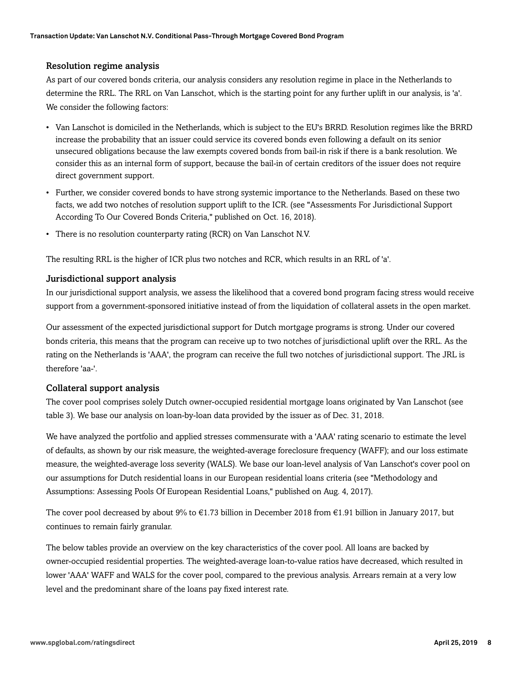#### Resolution regime analysis

As part of our covered bonds criteria, our analysis considers any resolution regime in place in the Netherlands to determine the RRL. The RRL on Van Lanschot, which is the starting point for any further uplift in our analysis, is 'a'. We consider the following factors:

- Van Lanschot is domiciled in the Netherlands, which is subject to the EU's BRRD. Resolution regimes like the BRRD increase the probability that an issuer could service its covered bonds even following a default on its senior unsecured obligations because the law exempts covered bonds from bail-in risk if there is a bank resolution. We consider this as an internal form of support, because the bail-in of certain creditors of the issuer does not require direct government support.
- Further, we consider covered bonds to have strong systemic importance to the Netherlands. Based on these two facts, we add two notches of resolution support uplift to the ICR. (see "Assessments For Jurisdictional Support According To Our Covered Bonds Criteria," published on Oct. 16, 2018).
- There is no resolution counterparty rating (RCR) on Van Lanschot N.V.

The resulting RRL is the higher of ICR plus two notches and RCR, which results in an RRL of 'a'.

#### Jurisdictional support analysis

In our jurisdictional support analysis, we assess the likelihood that a covered bond program facing stress would receive support from a government-sponsored initiative instead of from the liquidation of collateral assets in the open market.

Our assessment of the expected jurisdictional support for Dutch mortgage programs is strong. Under our covered bonds criteria, this means that the program can receive up to two notches of jurisdictional uplift over the RRL. As the rating on the Netherlands is 'AAA', the program can receive the full two notches of jurisdictional support. The JRL is therefore 'aa-'.

#### Collateral support analysis

The cover pool comprises solely Dutch owner-occupied residential mortgage loans originated by Van Lanschot (see table 3). We base our analysis on loan-by-loan data provided by the issuer as of Dec. 31, 2018.

We have analyzed the portfolio and applied stresses commensurate with a 'AAA' rating scenario to estimate the level of defaults, as shown by our risk measure, the weighted-average foreclosure frequency (WAFF); and our loss estimate measure, the weighted-average loss severity (WALS). We base our loan-level analysis of Van Lanschot's cover pool on our assumptions for Dutch residential loans in our European residential loans criteria (see "Methodology and Assumptions: Assessing Pools Of European Residential Loans," published on Aug. 4, 2017).

The cover pool decreased by about 9% to €1.73 billion in December 2018 from €1.91 billion in January 2017, but continues to remain fairly granular.

The below tables provide an overview on the key characteristics of the cover pool. All loans are backed by owner-occupied residential properties. The weighted-average loan-to-value ratios have decreased, which resulted in lower 'AAA' WAFF and WALS for the cover pool, compared to the previous analysis. Arrears remain at a very low level and the predominant share of the loans pay fixed interest rate.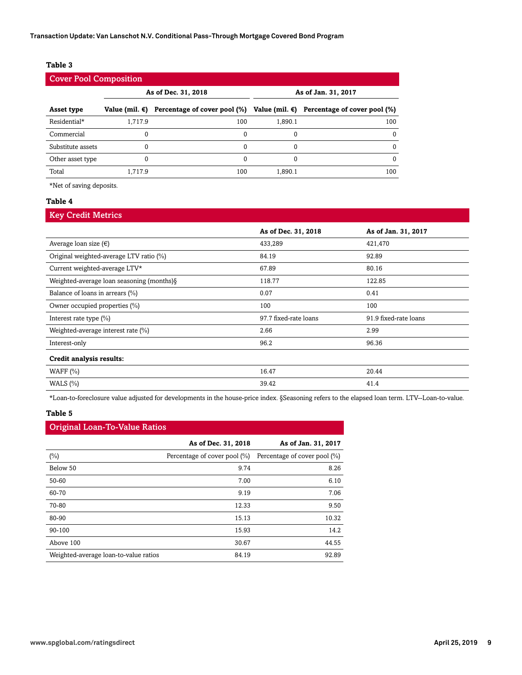#### **Table 3**

| <b>Cover Pool Composition</b> |                                            |                                                                                         |         |     |
|-------------------------------|--------------------------------------------|-----------------------------------------------------------------------------------------|---------|-----|
|                               | As of Dec. 31, 2018<br>As of Jan. 31, 2017 |                                                                                         |         |     |
| Asset type                    |                                            | Value (mil. €) Percentage of cover pool (%) Value (mil. €) Percentage of cover pool (%) |         |     |
| Residential*                  | 1.717.9                                    | 100                                                                                     | 1.890.1 | 100 |
| Commercial                    | 0                                          | $\Omega$                                                                                |         |     |
| Substitute assets             | 0                                          | 0                                                                                       |         |     |
| Other asset type              | 0                                          | $\Omega$                                                                                |         |     |
| Total                         | 1.717.9                                    | 100                                                                                     | 1.890.1 | 100 |

\*Net of saving deposits.

#### **Table 4**

#### Key Credit Metrics

|                                            | As of Dec. 31, 2018   | As of Jan. 31, 2017   |
|--------------------------------------------|-----------------------|-----------------------|
| Average loan size $(\epsilon)$             | 433,289               | 421,470               |
| Original weighted-average LTV ratio (%)    | 84.19                 | 92.89                 |
| Current weighted-average LTV*              | 67.89                 | 80.16                 |
| Weighted-average loan seasoning (months) § | 118.77                | 122.85                |
| Balance of loans in arrears (%)            | 0.07                  | 0.41                  |
| Owner occupied properties (%)              | 100                   | 100                   |
| Interest rate type $(\% )$                 | 97.7 fixed-rate loans | 91.9 fixed-rate loans |
| Weighted-average interest rate (%)         | 2.66                  | 2.99                  |
| Interest-only                              | 96.2                  | 96.36                 |
| Credit analysis results:                   |                       |                       |
| WAFF $(\% )$                               | 16.47                 | 20.44                 |
| WALS $(\% )$                               | 39.42                 | 41.4                  |

\*Loan-to-foreclosure value adjusted for developments in the house-price index. §Seasoning refers to the elapsed loan term. LTV--Loan-to-value.

#### **Table 5**

#### Original Loan-To-Value Ratios

|                                       | As of Dec. 31, 2018          | As of Jan. 31, 2017          |
|---------------------------------------|------------------------------|------------------------------|
| $(\%)$                                | Percentage of cover pool (%) | Percentage of cover pool (%) |
| Below 50                              | 9.74                         | 8.26                         |
| 50-60                                 | 7.00                         | 6.10                         |
| 60-70                                 | 9.19                         | 7.06                         |
| 70-80                                 | 12.33                        | 9.50                         |
| 80-90                                 | 15.13                        | 10.32                        |
| 90-100                                | 15.93                        | 14.2                         |
| Above 100                             | 30.67                        | 44.55                        |
| Weighted-average loan-to-value ratios | 84.19                        | 92.89                        |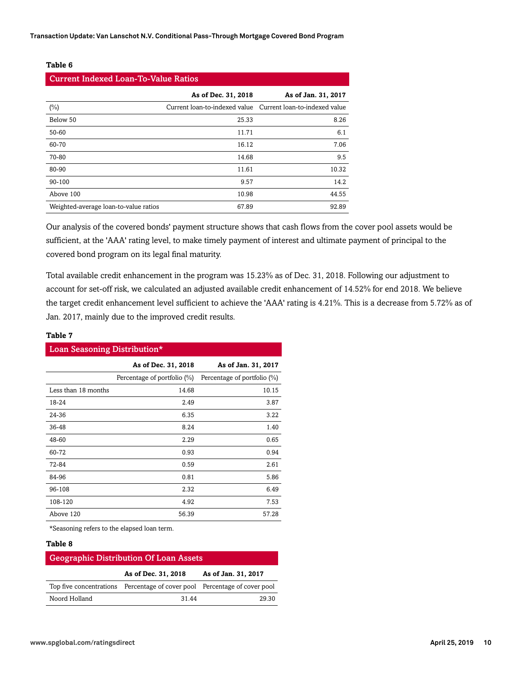**Transaction Update: Van Lanschot N.V. Conditional Pass-Through Mortgage Covered Bond Program**

#### **Table 6**

| <b>Current Indexed Loan-To-Value Ratios</b> |                     |                                                             |  |
|---------------------------------------------|---------------------|-------------------------------------------------------------|--|
|                                             | As of Dec. 31, 2018 | As of Jan. 31, 2017                                         |  |
| $(\%)$                                      |                     | Current loan-to-indexed value Current loan-to-indexed value |  |
| Below 50                                    | 25.33               | 8.26                                                        |  |
| 50-60                                       | 11.71               | 6.1                                                         |  |
| 60-70                                       | 16.12               | 7.06                                                        |  |
| 70-80                                       | 14.68               | 9.5                                                         |  |
| 80-90                                       | 11.61               | 10.32                                                       |  |
| 90-100                                      | 9.57                | 14.2                                                        |  |
| Above 100                                   | 10.98               | 44.55                                                       |  |
| Weighted-average loan-to-value ratios       | 67.89               | 92.89                                                       |  |

Our analysis of the covered bonds' payment structure shows that cash flows from the cover pool assets would be sufficient, at the 'AAA' rating level, to make timely payment of interest and ultimate payment of principal to the covered bond program on its legal final maturity.

Total available credit enhancement in the program was 15.23% as of Dec. 31, 2018. Following our adjustment to account for set-off risk, we calculated an adjusted available credit enhancement of 14.52% for end 2018. We believe the target credit enhancement level sufficient to achieve the 'AAA' rating is 4.21%. This is a decrease from 5.72% as of Jan. 2017, mainly due to the improved credit results.

| Loan Seasoning Distribution* |                             |                             |  |
|------------------------------|-----------------------------|-----------------------------|--|
|                              | As of Dec. 31, 2018         | As of Jan. 31, 2017         |  |
|                              | Percentage of portfolio (%) | Percentage of portfolio (%) |  |
| Less than 18 months          | 14.68                       | 10.15                       |  |
| 18-24                        | 2.49                        | 3.87                        |  |
| 24-36                        | 6.35                        | 3.22                        |  |
| 36-48                        | 8.24                        | 1.40                        |  |
| 48-60                        | 2.29                        | 0.65                        |  |
| 60-72                        | 0.93                        | 0.94                        |  |
| 72-84                        | 0.59                        | 2.61                        |  |
| 84-96                        | 0.81                        | 5.86                        |  |
| 96-108                       | 2.32                        | 6.49                        |  |
| 108-120                      | 4.92                        | 7.53                        |  |
| Above 120                    | 56.39                       | 57.28                       |  |

\*Seasoning refers to the elapsed loan term.

#### **Table 8**

**Table 7**

| Geographic Distribution Of Loan Assets |                                                                           |                     |  |
|----------------------------------------|---------------------------------------------------------------------------|---------------------|--|
|                                        | As of Dec. 31, 2018                                                       | As of Jan. 31, 2017 |  |
|                                        | Top five concentrations Percentage of cover pool Percentage of cover pool |                     |  |
| Noord Holland                          | 31 44                                                                     | 29.30               |  |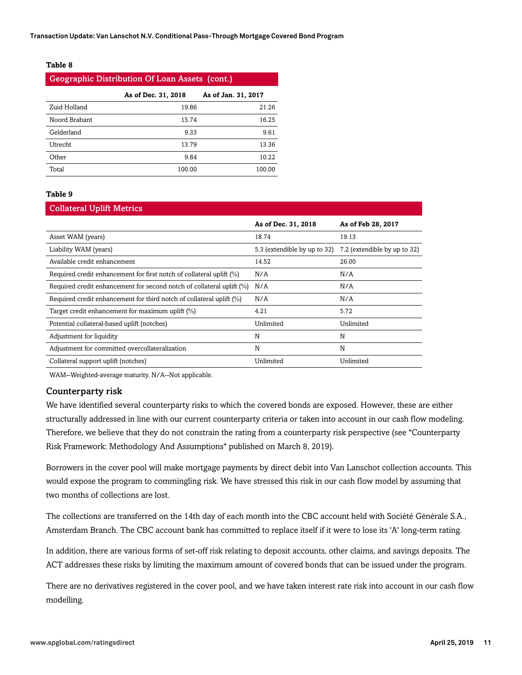**Transaction Update: Van Lanschot N.V. Conditional Pass-Through Mortgage Covered Bond Program**

#### **Table 8**

| <b>Geographic Distribution Of Loan Assets (cont.)</b> |        |        |  |
|-------------------------------------------------------|--------|--------|--|
| As of Dec. 31, 2018<br>As of Jan. 31, 2017            |        |        |  |
| Zuid Holland                                          | 19.86  | 21.26  |  |
| Noord Brabant                                         | 15.74  | 16.25  |  |
| Gelderland                                            | 9.33   | 9.61   |  |
| Utrecht                                               | 13.79  | 13.36  |  |
| Other                                                 | 9.84   | 10.22  |  |
| Total                                                 | 100.00 | 100.00 |  |

#### **Table 9**

#### Collateral Uplift Metrics

|                                                                       | As of Dec. 31, 2018          | As of Feb 28, 2017           |
|-----------------------------------------------------------------------|------------------------------|------------------------------|
| Asset WAM (years)                                                     | 18.74                        | 19.13                        |
| Liability WAM (years)                                                 | 5.3 (extendible by up to 32) | 7.2 (extendible by up to 32) |
| Available credit enhancement                                          | 14.52                        | 26.00                        |
| Required credit enhancement for first notch of collateral uplift (%)  | N/A                          | N/A                          |
| Required credit enhancement for second notch of collateral uplift (%) | N/A                          | N/A                          |
| Required credit enhancement for third notch of collateral uplift (%)  | N/A                          | N/A                          |
| Target credit enhancement for maximum uplift (%)                      | 4.21                         | 5.72                         |
| Potential collateral-based uplift (notches)                           | Unlimited                    | Unlimited                    |
| Adjustment for liquidity                                              | N                            | N                            |
| Adjustment for committed overcollateralization                        | N                            | N                            |
| Collateral support uplift (notches)                                   | Unlimited                    | Unlimited                    |

WAM--Weighted-average maturity. N/A--Not applicable.

#### Counterparty risk

We have identified several counterparty risks to which the covered bonds are exposed. However, these are either structurally addressed in line with our current counterparty criteria or taken into account in our cash flow modeling. Therefore, we believe that they do not constrain the rating from a counterparty risk perspective (see "Counterparty Risk Framework: Methodology And Assumptions" published on March 8, 2019).

Borrowers in the cover pool will make mortgage payments by direct debit into Van Lanschot collection accounts. This would expose the program to commingling risk. We have stressed this risk in our cash flow model by assuming that two months of collections are lost.

The collections are transferred on the 14th day of each month into the CBC account held with Société Générale S.A., Amsterdam Branch. The CBC account bank has committed to replace itself if it were to lose its 'A' long-term rating.

In addition, there are various forms of set-off risk relating to deposit accounts, other claims, and savings deposits. The ACT addresses these risks by limiting the maximum amount of covered bonds that can be issued under the program.

There are no derivatives registered in the cover pool, and we have taken interest rate risk into account in our cash flow modelling.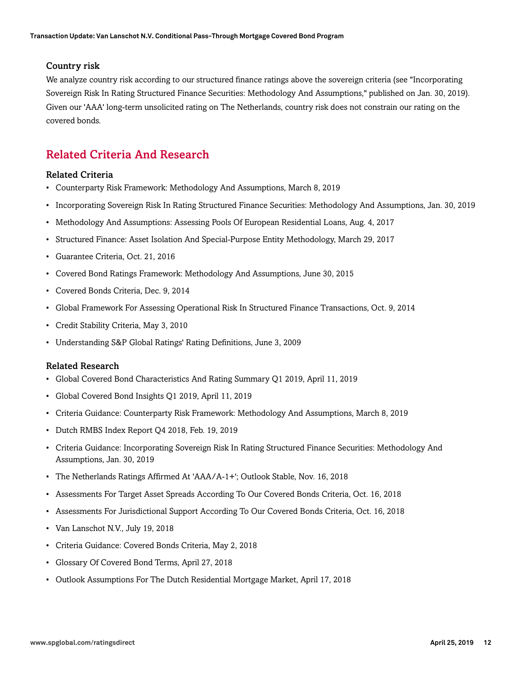#### Country risk

We analyze country risk according to our structured finance ratings above the sovereign criteria (see "Incorporating Sovereign Risk In Rating Structured Finance Securities: Methodology And Assumptions," published on Jan. 30, 2019). Given our 'AAA' long-term unsolicited rating on The Netherlands, country risk does not constrain our rating on the covered bonds.

## <span id="page-11-0"></span>Related Criteria And Research

#### Related Criteria

- Counterparty Risk Framework: Methodology And Assumptions, March 8, 2019
- Incorporating Sovereign Risk In Rating Structured Finance Securities: Methodology And Assumptions, Jan. 30, 2019
- Methodology And Assumptions: Assessing Pools Of European Residential Loans, Aug. 4, 2017
- Structured Finance: Asset Isolation And Special-Purpose Entity Methodology, March 29, 2017
- Guarantee Criteria, Oct. 21, 2016
- Covered Bond Ratings Framework: Methodology And Assumptions, June 30, 2015
- Covered Bonds Criteria, Dec. 9, 2014
- Global Framework For Assessing Operational Risk In Structured Finance Transactions, Oct. 9, 2014
- Credit Stability Criteria, May 3, 2010
- Understanding S&P Global Ratings' Rating Definitions, June 3, 2009

#### Related Research

- Global Covered Bond Characteristics And Rating Summary Q1 2019, April 11, 2019
- Global Covered Bond Insights Q1 2019, April 11, 2019
- Criteria Guidance: Counterparty Risk Framework: Methodology And Assumptions, March 8, 2019
- Dutch RMBS Index Report Q4 2018, Feb. 19, 2019
- Criteria Guidance: Incorporating Sovereign Risk In Rating Structured Finance Securities: Methodology And Assumptions, Jan. 30, 2019
- The Netherlands Ratings Affirmed At 'AAA/A-1+'; Outlook Stable, Nov. 16, 2018
- Assessments For Target Asset Spreads According To Our Covered Bonds Criteria, Oct. 16, 2018
- Assessments For Jurisdictional Support According To Our Covered Bonds Criteria, Oct. 16, 2018
- Van Lanschot N.V., July 19, 2018
- Criteria Guidance: Covered Bonds Criteria, May 2, 2018
- Glossary Of Covered Bond Terms, April 27, 2018
- Outlook Assumptions For The Dutch Residential Mortgage Market, April 17, 2018